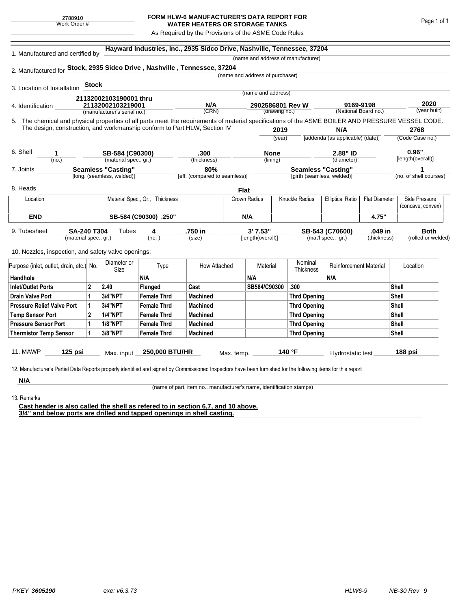## **FORM HLW-6 MANUFACTURER'S DATA REPORT FOR WATER HEATERS OR STORAGE TANKS**

As Required by the Provisions of the ASME Code Rules

| 1. Manufactured and certified by                                          |                                     |                   |                             |                                | Hayward Industries, Inc., 2935 Sidco Drive, Nashville, Tennessee, 37204 |                                 |               |                                    |                                  |                      |                                                                                                                                                    |
|---------------------------------------------------------------------------|-------------------------------------|-------------------|-----------------------------|--------------------------------|-------------------------------------------------------------------------|---------------------------------|---------------|------------------------------------|----------------------------------|----------------------|----------------------------------------------------------------------------------------------------------------------------------------------------|
|                                                                           |                                     |                   |                             |                                |                                                                         |                                 |               | (name and address of manufacturer) |                                  |                      |                                                                                                                                                    |
| 2. Manufactured for Stock, 2935 Sidco Drive, Nashville, Tennessee, 37204  |                                     |                   |                             |                                |                                                                         |                                 |               |                                    |                                  |                      |                                                                                                                                                    |
|                                                                           |                                     |                   |                             |                                |                                                                         | (name and address of purchaser) |               |                                    |                                  |                      |                                                                                                                                                    |
| 3. Location of Installation                                               |                                     | <b>Stock</b>      |                             |                                |                                                                         |                                 |               |                                    |                                  |                      |                                                                                                                                                    |
|                                                                           |                                     |                   | 21132002103190001 thru      |                                |                                                                         | (name and address)              |               |                                    |                                  |                      |                                                                                                                                                    |
| 4. Identification                                                         |                                     | 21132002103219001 |                             |                                | N/A<br>2902586801 Rev W                                                 |                                 |               |                                    | 9169-9198                        |                      | 2020                                                                                                                                               |
|                                                                           |                                     |                   | (manufacturer's serial no.) |                                | (CRN)                                                                   |                                 | (drawing no.) |                                    |                                  | (National Board no.) | (year built)                                                                                                                                       |
|                                                                           |                                     |                   |                             |                                |                                                                         |                                 |               |                                    |                                  |                      | 5. The chemical and physical properties of all parts meet the requirements of material specifications of the ASME BOILER AND PRESSURE VESSEL CODE. |
| The design, construction, and workmanship conform to Part HLW, Section IV |                                     |                   |                             |                                |                                                                         |                                 | 2019          |                                    | N/A                              |                      | 2768                                                                                                                                               |
|                                                                           |                                     |                   |                             |                                |                                                                         |                                 | (year)        |                                    | [addenda (as applicable) (date)] |                      | (Code Case no.)                                                                                                                                    |
| 6. Shell<br>1                                                             |                                     |                   | SB-584 (C90300)             |                                | .300                                                                    |                                 | None          |                                    | 2.88" ID                         |                      | 0.96"                                                                                                                                              |
| (no.)                                                                     |                                     |                   | (material spec., gr.)       |                                | (thickness)                                                             |                                 | (lining)      |                                    | (diameter)                       |                      | [length(overall)]                                                                                                                                  |
| 7. Joints                                                                 |                                     |                   | <b>Seamless "Casting"</b>   |                                | 80%                                                                     |                                 |               | <b>Seamless "Casting"</b>          |                                  |                      |                                                                                                                                                    |
|                                                                           |                                     |                   | [long. (seamless, welded)]  |                                | [eff. (compared to seamless)]                                           |                                 |               | [girth (seamless, welded)]         |                                  |                      | (no. of shell courses)                                                                                                                             |
| 8. Heads                                                                  |                                     |                   |                             |                                |                                                                         | <b>Flat</b>                     |               |                                    |                                  |                      |                                                                                                                                                    |
| Location                                                                  |                                     |                   |                             | Material Spec., Gr., Thickness |                                                                         | Crown Radius                    |               | Knuckle Radius                     | <b>Elliptical Ratio</b>          | <b>Flat Diameter</b> | Side Pressure                                                                                                                                      |
|                                                                           |                                     |                   |                             |                                |                                                                         |                                 |               |                                    |                                  |                      | (concave, convex)                                                                                                                                  |
|                                                                           | <b>END</b><br>SB-584 (C90300) .250" |                   |                             |                                | N/A                                                                     |                                 |               |                                    |                                  | 4.75"                |                                                                                                                                                    |
| 9. Tubesheet                                                              | <b>SA-240 T304</b>                  |                   | Tubes                       | 4                              | .750 in                                                                 | 3' 7.53"                        |               |                                    | SB-543 (C70600)                  | .049 in              | <b>Both</b>                                                                                                                                        |
|                                                                           | (material spec., gr.)               |                   |                             | (no. )                         | (size)                                                                  | [length(overall)]               |               |                                    | (mat'l spec., gr.)               | (thickness)          | (rolled or welded)                                                                                                                                 |
| 10. Nozzles, inspection, and safety valve openings:                       |                                     |                   |                             |                                |                                                                         |                                 |               |                                    |                                  |                      |                                                                                                                                                    |
|                                                                           |                                     |                   | Diameter or                 |                                |                                                                         |                                 |               | Nominal                            |                                  |                      |                                                                                                                                                    |
| Purpose (inlet, outlet, drain, etc.) No.                                  |                                     |                   | Size                        | Type                           | How Attached                                                            | Material                        |               | Thickness                          | <b>Reinforcement Material</b>    |                      | Location                                                                                                                                           |
| Handhole                                                                  |                                     |                   |                             | N/A                            |                                                                         | N/A                             |               |                                    | N/A                              |                      |                                                                                                                                                    |
| <b>Inlet/Outlet Ports</b>                                                 |                                     | $\mathbf{2}$      | 2.40                        | Flanged                        | Cast                                                                    | SB584/C90300                    |               | .300                               |                                  |                      | Shell                                                                                                                                              |
| <b>Drain Valve Port</b>                                                   |                                     | 1                 | <b>3/4"NPT</b>              | <b>Female Thrd</b>             | <b>Machined</b>                                                         |                                 |               | <b>Thrd Opening</b>                |                                  |                      | Shell                                                                                                                                              |
| <b>Pressure Relief Valve Port</b>                                         |                                     | 1                 | <b>3/4"NPT</b>              | <b>Female Thrd</b>             | <b>Machined</b>                                                         |                                 |               | <b>Thrd Opening</b>                |                                  |                      | Shell                                                                                                                                              |
| <b>Temp Sensor Port</b>                                                   |                                     | $\mathbf{2}$      | <b>1/4"NPT</b>              | <b>Female Thrd</b>             | <b>Machined</b>                                                         |                                 |               | <b>Thrd Opening</b>                |                                  |                      | <b>Shell</b>                                                                                                                                       |
| <b>Pressure Sensor Port</b>                                               |                                     | 1                 | <b>1/8"NPT</b>              | <b>Female Thrd</b>             | <b>Machined</b>                                                         |                                 |               | <b>Thrd Opening</b>                |                                  |                      | Shell                                                                                                                                              |
| <b>Thermistor Temp Sensor</b>                                             |                                     | 1                 | 3/8"NPT                     | <b>Female Thrd</b>             | <b>Machined</b>                                                         |                                 |               | <b>Thrd Opening</b>                |                                  |                      | <b>Shell</b>                                                                                                                                       |
|                                                                           |                                     |                   |                             |                                |                                                                         |                                 |               |                                    |                                  |                      |                                                                                                                                                    |
|                                                                           |                                     |                   |                             |                                |                                                                         |                                 |               |                                    |                                  |                      |                                                                                                                                                    |

**N/A** 13. Remarks

(name of part, item no., manufacturer's name, identification stamps)

**Cast header is also called the shell as refered to in section 6,7, and 10 above. 3/4" and below ports are drilled and tapped openings in shell casting.**